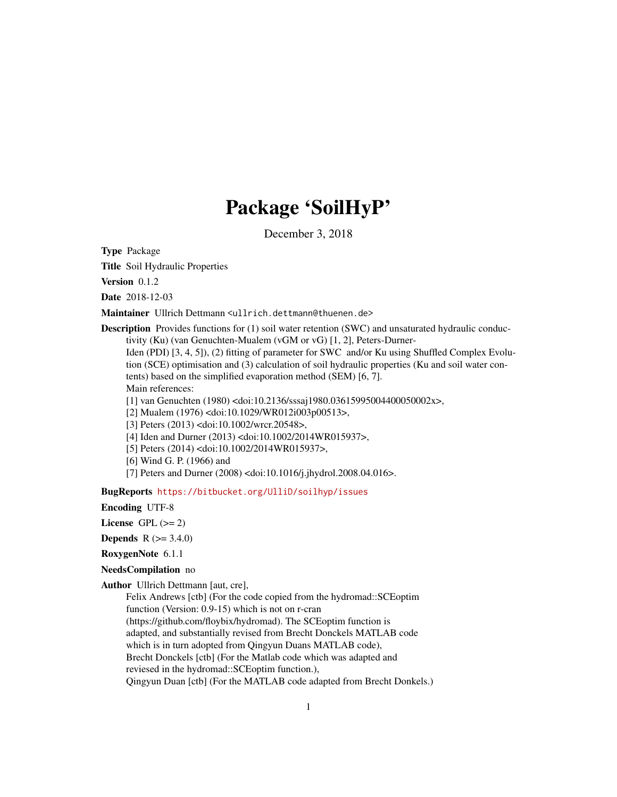# Package 'SoilHyP'

December 3, 2018

<span id="page-0-0"></span>Type Package

Title Soil Hydraulic Properties

Version 0.1.2

Date 2018-12-03

Maintainer Ullrich Dettmann <ullrich.dettmann@thuenen.de>

**Description** Provides functions for (1) soil water retention (SWC) and unsaturated hydraulic conductivity (Ku) (van Genuchten-Mualem (vGM or vG) [1, 2], Peters-Durner-

Iden (PDI) [3, 4, 5]), (2) fitting of parameter for SWC and/or Ku using Shuffled Complex Evolution (SCE) optimisation and (3) calculation of soil hydraulic properties (Ku and soil water contents) based on the simplified evaporation method (SEM) [6, 7]. Main references:

[1] van Genuchten (1980) <doi:10.2136/sssaj1980.03615995004400050002x>,

[2] Mualem (1976) <doi:10.1029/WR012i003p00513>,

[3] Peters (2013) <doi:10.1002/wrcr.20548>,

[4] Iden and Durner (2013) <doi:10.1002/2014WR015937>,

[5] Peters (2014) <doi:10.1002/2014WR015937>,

[6] Wind G. P. (1966) and

[7] Peters and Durner (2008) <doi:10.1016/j.jhydrol.2008.04.016>.

BugReports <https://bitbucket.org/UlliD/soilhyp/issues>

Encoding UTF-8

License GPL  $(>= 2)$ 

**Depends**  $R (= 3.4.0)$ 

RoxygenNote 6.1.1

# NeedsCompilation no

Author Ullrich Dettmann [aut, cre],

Felix Andrews [ctb] (For the code copied from the hydromad::SCEoptim function (Version: 0.9-15) which is not on r-cran (https://github.com/floybix/hydromad). The SCEoptim function is adapted, and substantially revised from Brecht Donckels MATLAB code which is in turn adopted from Oingyun Duans MATLAB code), Brecht Donckels [ctb] (For the Matlab code which was adapted and reviesed in the hydromad::SCEoptim function.), Qingyun Duan [ctb] (For the MATLAB code adapted from Brecht Donkels.)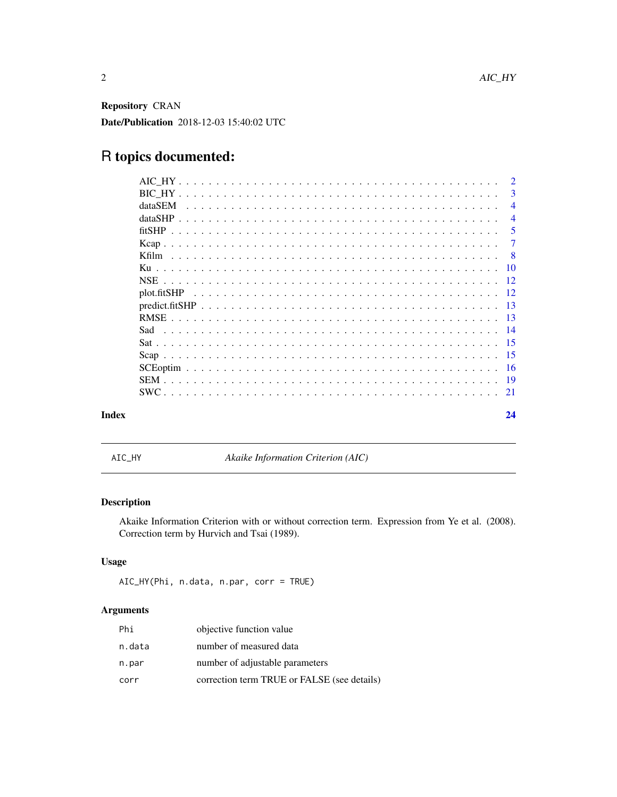<span id="page-1-0"></span>Repository CRAN Date/Publication 2018-12-03 15:40:02 UTC

# R topics documented:

|       |         |  |  |  |  |  |  |  |  |  |  |  | $\mathcal{D}$  |
|-------|---------|--|--|--|--|--|--|--|--|--|--|--|----------------|
|       |         |  |  |  |  |  |  |  |  |  |  |  | 3              |
|       | dataSEM |  |  |  |  |  |  |  |  |  |  |  | $\overline{4}$ |
|       | dataSHP |  |  |  |  |  |  |  |  |  |  |  | $\overline{4}$ |
|       |         |  |  |  |  |  |  |  |  |  |  |  | -5             |
|       |         |  |  |  |  |  |  |  |  |  |  |  | 7              |
|       |         |  |  |  |  |  |  |  |  |  |  |  | - 8            |
|       |         |  |  |  |  |  |  |  |  |  |  |  |                |
|       |         |  |  |  |  |  |  |  |  |  |  |  |                |
|       |         |  |  |  |  |  |  |  |  |  |  |  |                |
|       |         |  |  |  |  |  |  |  |  |  |  |  |                |
|       |         |  |  |  |  |  |  |  |  |  |  |  |                |
|       | Sad     |  |  |  |  |  |  |  |  |  |  |  |                |
|       |         |  |  |  |  |  |  |  |  |  |  |  |                |
|       |         |  |  |  |  |  |  |  |  |  |  |  |                |
|       |         |  |  |  |  |  |  |  |  |  |  |  |                |
|       |         |  |  |  |  |  |  |  |  |  |  |  |                |
|       |         |  |  |  |  |  |  |  |  |  |  |  |                |
| Index |         |  |  |  |  |  |  |  |  |  |  |  | 24             |

AIC\_HY *Akaike Information Criterion (AIC)*

# Description

Akaike Information Criterion with or without correction term. Expression from Ye et al. (2008). Correction term by Hurvich and Tsai (1989).

# Usage

```
AIC_HY(Phi, n.data, n.par, corr = TRUE)
```

| Phi    | objective function value                    |
|--------|---------------------------------------------|
| n.data | number of measured data                     |
| n.par  | number of adjustable parameters             |
| corr   | correction term TRUE or FALSE (see details) |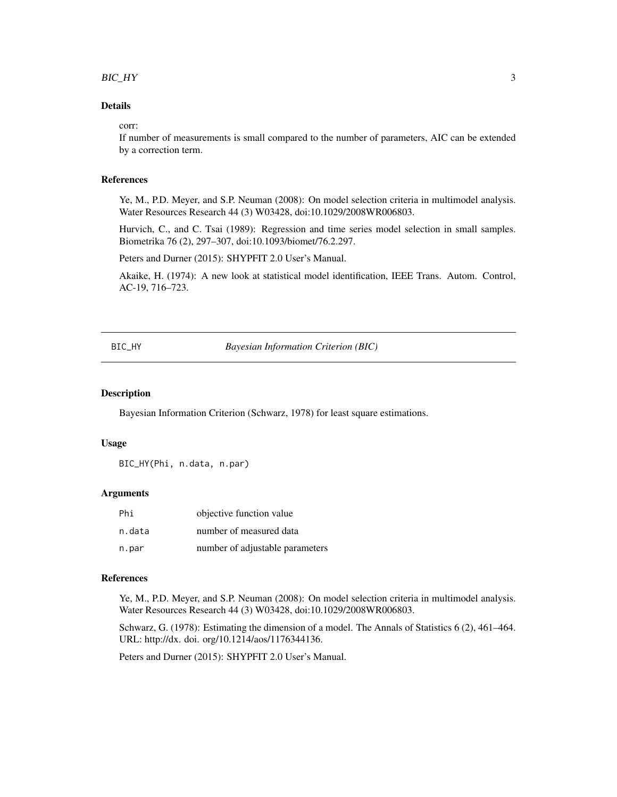#### <span id="page-2-0"></span> $BIC_HY$  3

# Details

#### corr:

If number of measurements is small compared to the number of parameters, AIC can be extended by a correction term.

#### References

Ye, M., P.D. Meyer, and S.P. Neuman (2008): On model selection criteria in multimodel analysis. Water Resources Research 44 (3) W03428, doi:10.1029/2008WR006803.

Hurvich, C., and C. Tsai (1989): Regression and time series model selection in small samples. Biometrika 76 (2), 297–307, doi:10.1093/biomet/76.2.297.

Peters and Durner (2015): SHYPFIT 2.0 User's Manual.

Akaike, H. (1974): A new look at statistical model identification, IEEE Trans. Autom. Control, AC-19, 716–723.

BIC\_HY *Bayesian Information Criterion (BIC)*

#### Description

Bayesian Information Criterion (Schwarz, 1978) for least square estimations.

#### Usage

BIC\_HY(Phi, n.data, n.par)

# Arguments

| Phi    | objective function value        |
|--------|---------------------------------|
| n.data | number of measured data         |
| n.par  | number of adjustable parameters |

# References

Ye, M., P.D. Meyer, and S.P. Neuman (2008): On model selection criteria in multimodel analysis. Water Resources Research 44 (3) W03428, doi:10.1029/2008WR006803.

Schwarz, G. (1978): Estimating the dimension of a model. The Annals of Statistics 6 (2), 461–464. URL: http://dx. doi. org/10.1214/aos/1176344136.

Peters and Durner (2015): SHYPFIT 2.0 User's Manual.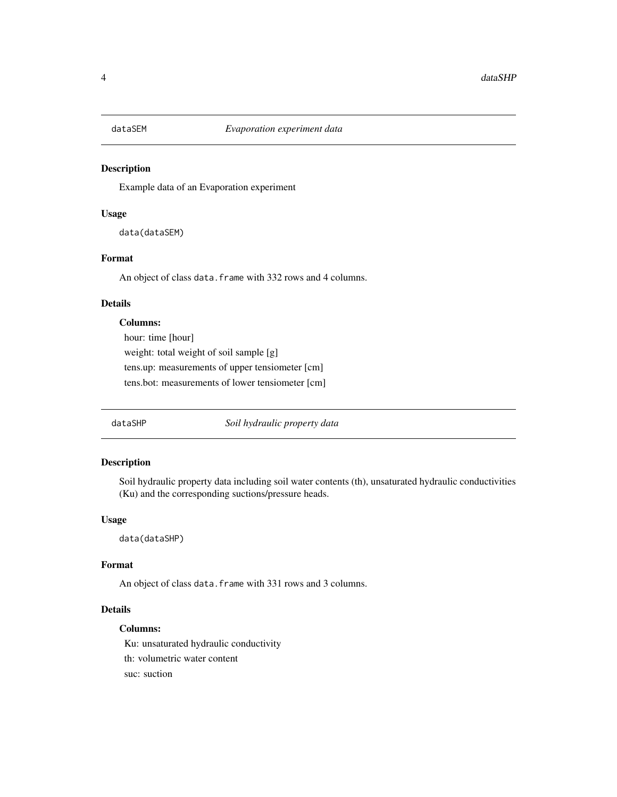<span id="page-3-0"></span>

Example data of an Evaporation experiment

# Usage

data(dataSEM)

# Format

An object of class data. frame with 332 rows and 4 columns.

# Details

# Columns:

hour: time [hour] weight: total weight of soil sample [g] tens.up: measurements of upper tensiometer [cm] tens.bot: measurements of lower tensiometer [cm]

dataSHP *Soil hydraulic property data*

# Description

Soil hydraulic property data including soil water contents (th), unsaturated hydraulic conductivities (Ku) and the corresponding suctions/pressure heads.

# Usage

data(dataSHP)

# Format

An object of class data.frame with 331 rows and 3 columns.

# Details

# Columns:

Ku: unsaturated hydraulic conductivity th: volumetric water content suc: suction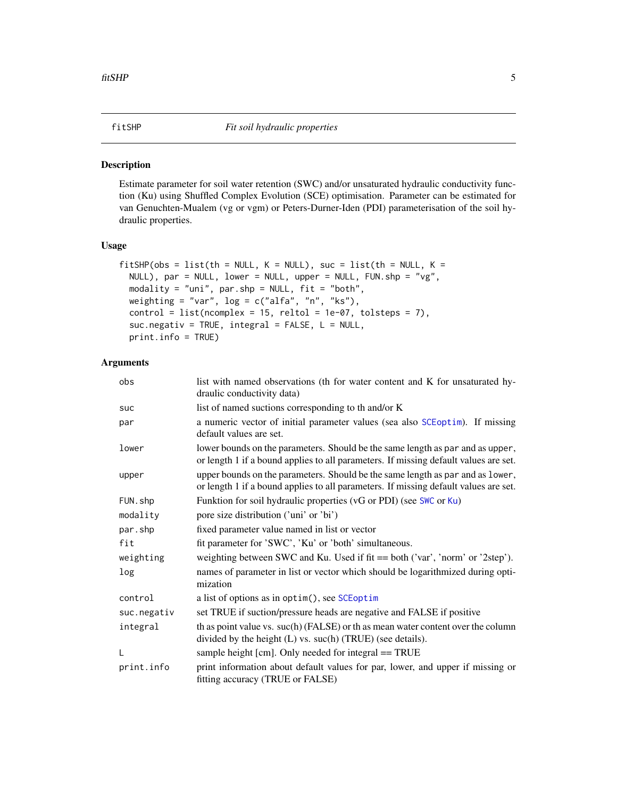<span id="page-4-0"></span>

Estimate parameter for soil water retention (SWC) and/or unsaturated hydraulic conductivity function (Ku) using Shuffled Complex Evolution (SCE) optimisation. Parameter can be estimated for van Genuchten-Mualem (vg or vgm) or Peters-Durner-Iden (PDI) parameterisation of the soil hydraulic properties.

# Usage

```
fitSHP(obs = list(th = NULL, K = NULL), suc = list(th = NULL, K =NULL), par = NULL, lower = NULL, upper = NULL, FUN.shp = "vg",
 modality = "uni", par.shp = NULL, fit = "both",
 weighting = "var", log = c("alfa", "n", "ks"),control = list(ncomplex = 15, reltol = 1e-07, tolsteps = 7),suc.negativ = TRUE, integral = FALSE, L = NULL,
 print.info = TRUE)
```

| obs         | list with named observations (th for water content and K for unsaturated hy-<br>draulic conductivity data)                                                             |
|-------------|------------------------------------------------------------------------------------------------------------------------------------------------------------------------|
| suc         | list of named suctions corresponding to th and/or K                                                                                                                    |
| par         | a numeric vector of initial parameter values (sea also SCEoptim). If missing<br>default values are set.                                                                |
| lower       | lower bounds on the parameters. Should be the same length as par and as upper,<br>or length 1 if a bound applies to all parameters. If missing default values are set. |
| upper       | upper bounds on the parameters. Should be the same length as par and as lower,<br>or length 1 if a bound applies to all parameters. If missing default values are set. |
| FUN.shp     | Funktion for soil hydraulic properties (vG or PDI) (see SWC or Ku)                                                                                                     |
| modality    | pore size distribution ('uni' or 'bi')                                                                                                                                 |
| par.shp     | fixed parameter value named in list or vector                                                                                                                          |
| fit         | fit parameter for 'SWC', 'Ku' or 'both' simultaneous.                                                                                                                  |
| weighting   | weighting between SWC and Ku. Used if fit == both ('var', 'norm' or '2step').                                                                                          |
| log         | names of parameter in list or vector which should be logarithmized during opti-<br>mization                                                                            |
| control     | a list of options as in optim(), see SCEoptim                                                                                                                          |
| suc.negativ | set TRUE if suction/pressure heads are negative and FALSE if positive                                                                                                  |
| integral    | th as point value vs. suc(h) (FALSE) or th as mean water content over the column<br>divided by the height (L) vs. suc(h) (TRUE) (see details).                         |
| L           | sample height [cm]. Only needed for integral == TRUE                                                                                                                   |
| print.info  | print information about default values for par, lower, and upper if missing or<br>fitting accuracy (TRUE or FALSE)                                                     |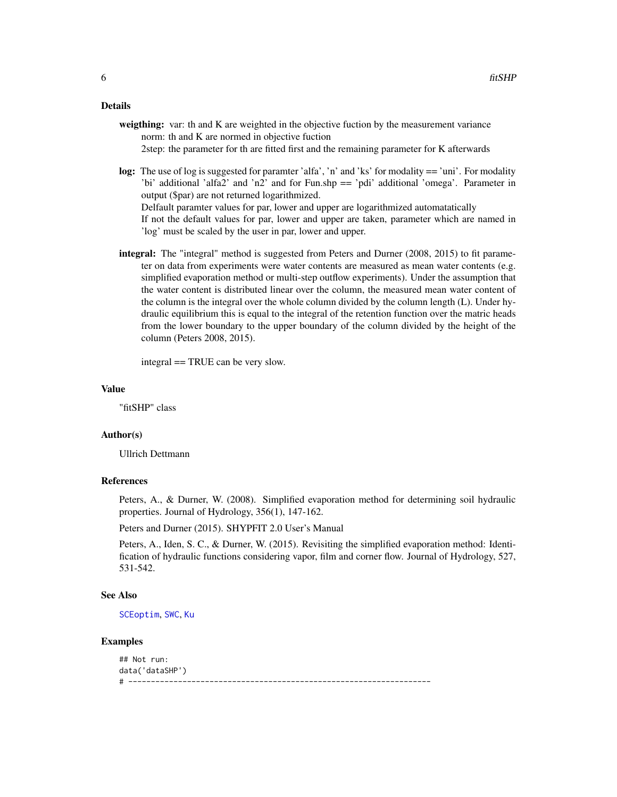#### <span id="page-5-0"></span>Details

- weigthing: var: th and K are weighted in the objective fuction by the measurement variance norm: th and K are normed in objective fuction 2step: the parameter for th are fitted first and the remaining parameter for K afterwards
- log: The use of log is suggested for paramter 'alfa', 'n' and 'ks' for modality == 'uni'. For modality 'bi' additional 'alfa2' and 'n2' and for Fun.shp == 'pdi' additional 'omega'. Parameter in output (\$par) are not returned logarithmized. Delfault paramter values for par, lower and upper are logarithmized automatatically

If not the default values for par, lower and upper are taken, parameter which are named in 'log' must be scaled by the user in par, lower and upper.

integral: The "integral" method is suggested from Peters and Durner (2008, 2015) to fit parameter on data from experiments were water contents are measured as mean water contents (e.g. simplified evaporation method or multi-step outflow experiments). Under the assumption that the water content is distributed linear over the column, the measured mean water content of the column is the integral over the whole column divided by the column length (L). Under hydraulic equilibrium this is equal to the integral of the retention function over the matric heads from the lower boundary to the upper boundary of the column divided by the height of the column (Peters 2008, 2015).

integral == TRUE can be very slow.

# Value

"fitSHP" class

#### Author(s)

Ullrich Dettmann

# References

Peters, A., & Durner, W. (2008). Simplified evaporation method for determining soil hydraulic properties. Journal of Hydrology, 356(1), 147-162.

Peters and Durner (2015). SHYPFIT 2.0 User's Manual

Peters, A., Iden, S. C., & Durner, W. (2015). Revisiting the simplified evaporation method: Identification of hydraulic functions considering vapor, film and corner flow. Journal of Hydrology, 527, 531-542.

# See Also

[SCEoptim](#page-15-1), [SWC](#page-20-1), [Ku](#page-9-1)

# Examples

```
## Not run:
data('dataSHP')
# -------------------------------------------------------------------
```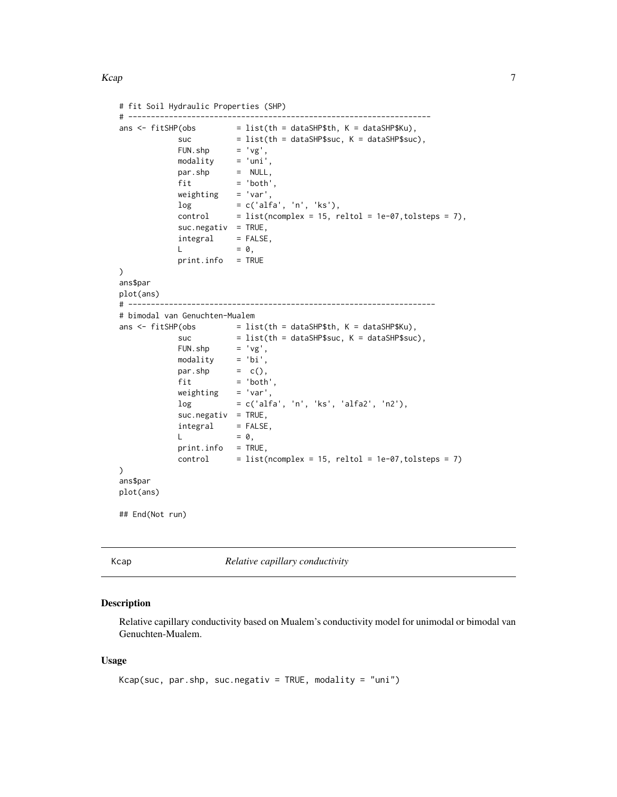#### <span id="page-6-0"></span>Kcap 77

```
# fit Soil Hydraulic Properties (SHP)
# -------------------------------------------------------------------
ans \le fitSHP(obs = list(th = dataSHP$th, K = dataSHP$Ku),
            suc = list(th = dataSHP$suc, K = dataSHP$suc),FUN.shp = 'vg',modality = 'uni',
           par.shp = NULL,
           fit = 'both',
           weighting = 'var',log = c('alfa', 'n', 'ks'),control = list(ncomplex = 15, relation = 1e-07, tolsteps = 7),suc.negativ = TRUE,integral = FALSE,L = 0,
           print.info = TRUE
)
ans$par
plot(ans)
# --------------------------------------------------------------------
# bimodal van Genuchten-Mualem
ans \le fitSHP(obs = list(th = dataSHP$th, K = dataSHP$Ku),
           suc = list(th = dataSHP$suc, K = dataSHP$suc),FUN.shp = 'vg',modality = 'bi',
           par.shp = c(),fit = 'both',<br>weighting = 'var',
           weightinglog = c('alfa', 'n', 'ks', 'alfa2', 'n2'),
           suc.negativ = TRUE,integral = FALSE,
           L = 0,
           print.info = TRUE,
           control = list(ncomplex = 15, relation = 1e-07, tolsteps = 7)\mathcal{L}ans$par
plot(ans)
## End(Not run)
```
Kcap *Relative capillary conductivity*

# Description

Relative capillary conductivity based on Mualem's conductivity model for unimodal or bimodal van Genuchten-Mualem.

#### Usage

```
Kcap(suc, par.shp, suc.negativ = TRUE, modality = "uni")
```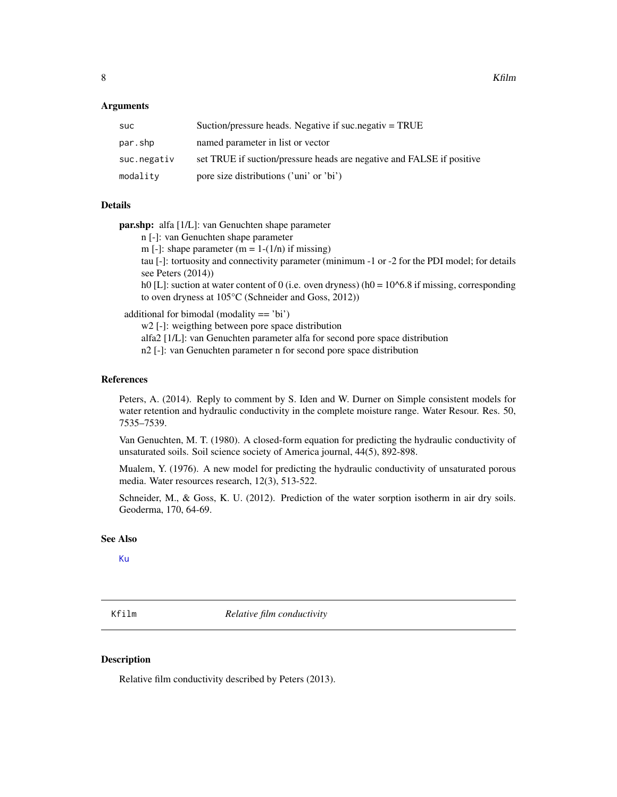### <span id="page-7-0"></span>Arguments

| Suction/pressure heads. Negative if suc. negativ $=$ TRUE             |
|-----------------------------------------------------------------------|
| named parameter in list or vector                                     |
| set TRUE if suction/pressure heads are negative and FALSE if positive |
| pore size distributions ('uni' or 'bi')                               |
|                                                                       |

# Details

par.shp: alfa [1/L]: van Genuchten shape parameter

- n [-]: van Genuchten shape parameter
- m [-]: shape parameter  $(m = 1-(1/n))$  if missing)

tau [-]: tortuosity and connectivity parameter (minimum -1 or -2 for the PDI model; for details see Peters (2014))

h0 [L]: suction at water content of 0 (i.e. oven dryness) (h0 =  $10^{6}$ 6.8 if missing, corresponding to oven dryness at 105°C (Schneider and Goss, 2012))

additional for bimodal (modality == 'bi')

w<sub>2</sub> [-]: weigthing between pore space distribution

alfa2 [1/L]: van Genuchten parameter alfa for second pore space distribution

n2 [-]: van Genuchten parameter n for second pore space distribution

#### References

Peters, A. (2014). Reply to comment by S. Iden and W. Durner on Simple consistent models for water retention and hydraulic conductivity in the complete moisture range. Water Resour. Res. 50, 7535–7539.

Van Genuchten, M. T. (1980). A closed-form equation for predicting the hydraulic conductivity of unsaturated soils. Soil science society of America journal, 44(5), 892-898.

Mualem, Y. (1976). A new model for predicting the hydraulic conductivity of unsaturated porous media. Water resources research, 12(3), 513-522.

Schneider, M., & Goss, K. U. (2012). Prediction of the water sorption isotherm in air dry soils. Geoderma, 170, 64-69.

#### See Also

[Ku](#page-9-1)

Kfilm *Relative film conductivity*

# **Description**

Relative film conductivity described by Peters (2013).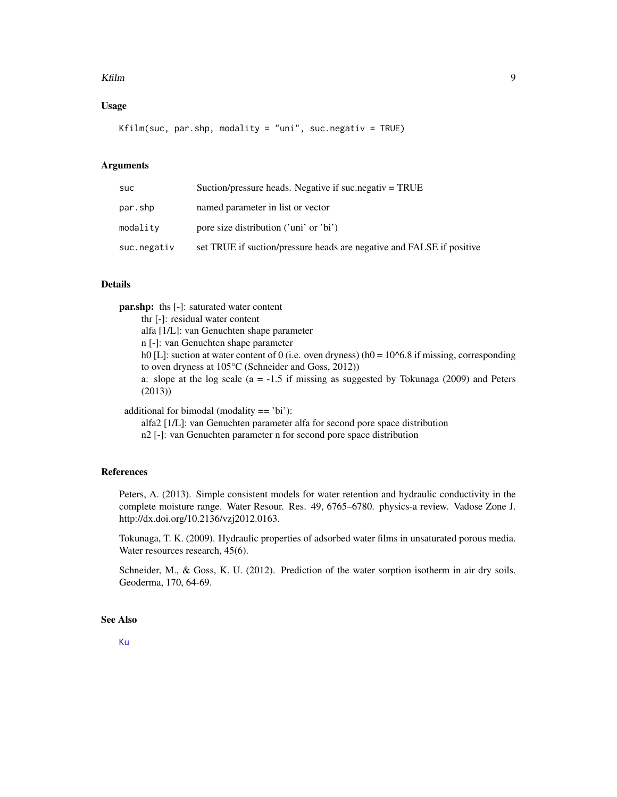#### <span id="page-8-0"></span>Kfilm 9

# Usage

Kfilm(suc, par.shp, modality = "uni", suc.negativ = TRUE)

# **Arguments**

| suc         | Suction/pressure heads. Negative if suc.negativ = TRUE                |
|-------------|-----------------------------------------------------------------------|
| par.shp     | named parameter in list or vector                                     |
| modality    | pore size distribution ('uni' or 'bi')                                |
| suc.negativ | set TRUE if suction/pressure heads are negative and FALSE if positive |

# Details

par.shp: ths [-]: saturated water content thr [-]: residual water content alfa [1/L]: van Genuchten shape parameter n [-]: van Genuchten shape parameter h0 [L]: suction at water content of 0 (i.e. oven dryness) (h0 =  $10^{6}$ 6.8 if missing, corresponding to oven dryness at 105°C (Schneider and Goss, 2012)) a: slope at the log scale  $(a = -1.5$  if missing as suggested by Tokunaga (2009) and Peters (2013)) additional for bimodal (modality == 'bi'):

alfa2 [1/L]: van Genuchten parameter alfa for second pore space distribution

n2 [-]: van Genuchten parameter n for second pore space distribution

#### References

Peters, A. (2013). Simple consistent models for water retention and hydraulic conductivity in the complete moisture range. Water Resour. Res. 49, 6765–6780. physics-a review. Vadose Zone J. http://dx.doi.org/10.2136/vzj2012.0163.

Tokunaga, T. K. (2009). Hydraulic properties of adsorbed water films in unsaturated porous media. Water resources research, 45(6).

Schneider, M., & Goss, K. U. (2012). Prediction of the water sorption isotherm in air dry soils. Geoderma, 170, 64-69.

# See Also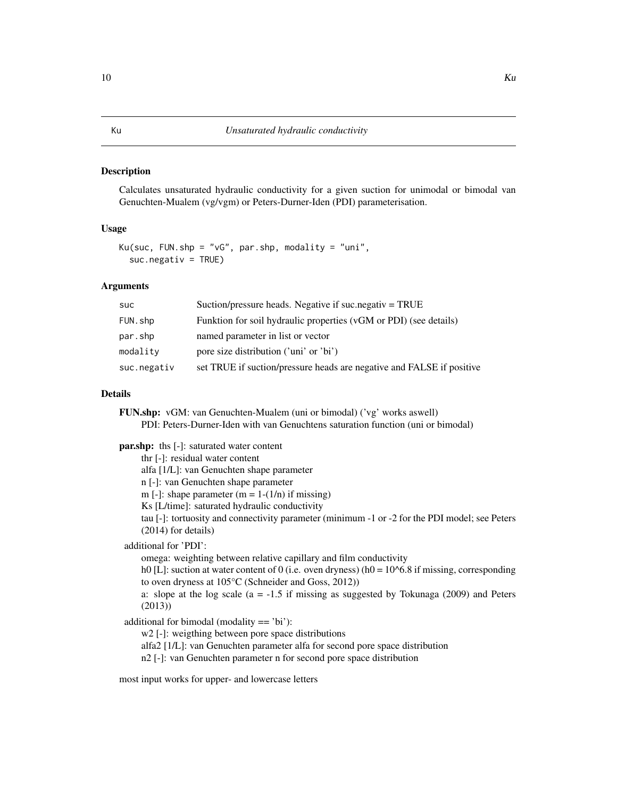<span id="page-9-1"></span><span id="page-9-0"></span>Calculates unsaturated hydraulic conductivity for a given suction for unimodal or bimodal van Genuchten-Mualem (vg/vgm) or Peters-Durner-Iden (PDI) parameterisation.

## Usage

Ku(suc, FUN.shp = "vG", par.shp, modality = "uni",  $suc.negativ = TRUE$ )

# Arguments

| <b>SUC</b>  | Suction/pressure heads. Negative if suc.negativ $=$ TRUE              |
|-------------|-----------------------------------------------------------------------|
| FUN.shp     | Funktion for soil hydraulic properties (vGM or PDI) (see details)     |
| par.shp     | named parameter in list or vector                                     |
| modality    | pore size distribution ('uni' or 'bi')                                |
| suc.negativ | set TRUE if suction/pressure heads are negative and FALSE if positive |

# Details

FUN.shp: vGM: van Genuchten-Mualem (uni or bimodal) ('vg' works aswell) PDI: Peters-Durner-Iden with van Genuchtens saturation function (uni or bimodal)

**par.shp:** ths [-]: saturated water content

thr [-]: residual water content alfa [1/L]: van Genuchten shape parameter n [-]: van Genuchten shape parameter m [-]: shape parameter  $(m = 1-(1/n))$  if missing) Ks [L/time]: saturated hydraulic conductivity tau [-]: tortuosity and connectivity parameter (minimum -1 or -2 for the PDI model; see Peters (2014) for details) additional for 'PDI': omega: weighting between relative capillary and film conductivity h0 [L]: suction at water content of 0 (i.e. oven dryness) (h0 =  $10<sup>6</sup>$ .8 if missing, corresponding to oven dryness at 105°C (Schneider and Goss, 2012)) a: slope at the log scale  $(a = -1.5$  if missing as suggested by Tokunaga (2009) and Peters (2013)) additional for bimodal (modality == 'bi'): w2 [-]: weigthing between pore space distributions alfa2 [1/L]: van Genuchten parameter alfa for second pore space distribution

n2 [-]: van Genuchten parameter n for second pore space distribution

most input works for upper- and lowercase letters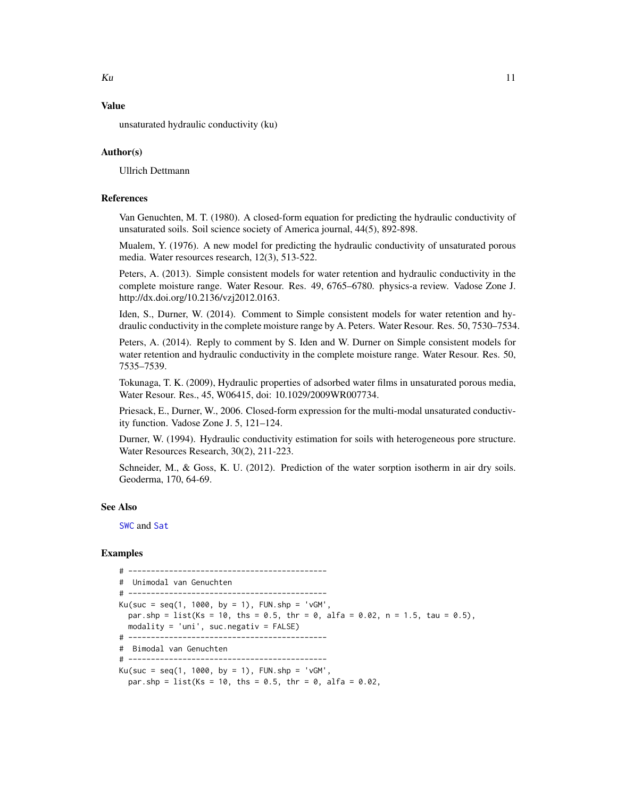# Value

unsaturated hydraulic conductivity (ku)

# Author(s)

Ullrich Dettmann

# References

Van Genuchten, M. T. (1980). A closed-form equation for predicting the hydraulic conductivity of unsaturated soils. Soil science society of America journal, 44(5), 892-898.

Mualem, Y. (1976). A new model for predicting the hydraulic conductivity of unsaturated porous media. Water resources research, 12(3), 513-522.

Peters, A. (2013). Simple consistent models for water retention and hydraulic conductivity in the complete moisture range. Water Resour. Res. 49, 6765–6780. physics-a review. Vadose Zone J. http://dx.doi.org/10.2136/vzj2012.0163.

Iden, S., Durner, W. (2014). Comment to Simple consistent models for water retention and hydraulic conductivity in the complete moisture range by A. Peters. Water Resour. Res. 50, 7530–7534.

Peters, A. (2014). Reply to comment by S. Iden and W. Durner on Simple consistent models for water retention and hydraulic conductivity in the complete moisture range. Water Resour. Res. 50, 7535–7539.

Tokunaga, T. K. (2009), Hydraulic properties of adsorbed water films in unsaturated porous media, Water Resour. Res., 45, W06415, doi: 10.1029/2009WR007734.

Priesack, E., Durner, W., 2006. Closed-form expression for the multi-modal unsaturated conductivity function. Vadose Zone J. 5, 121–124.

Durner, W. (1994). Hydraulic conductivity estimation for soils with heterogeneous pore structure. Water Resources Research, 30(2), 211-223.

Schneider, M., & Goss, K. U. (2012). Prediction of the water sorption isotherm in air dry soils. Geoderma, 170, 64-69.

#### See Also

[SWC](#page-20-1) and [Sat](#page-14-1)

# Examples

# -------------------------------------------- # Unimodal van Genuchten # --------------------------------------------  $Ku(suc = seq(1, 1000, by = 1), FUN.shp = 'vGM',$ par.shp = list(Ks = 10, ths = 0.5, thr = 0, alfa = 0.02, n = 1.5, tau = 0.5), modality = 'uni', suc.negativ = FALSE) # -------------------------------------------- # Bimodal van Genuchten # --------------------------------------------  $Ku(suc = seq(1, 1000, by = 1), FUN.shp = 'vGM',$ par.shp = list(Ks = 10, ths =  $0.5$ , thr =  $0$ , alfa =  $0.02$ ,

<span id="page-10-0"></span> $Ku$  11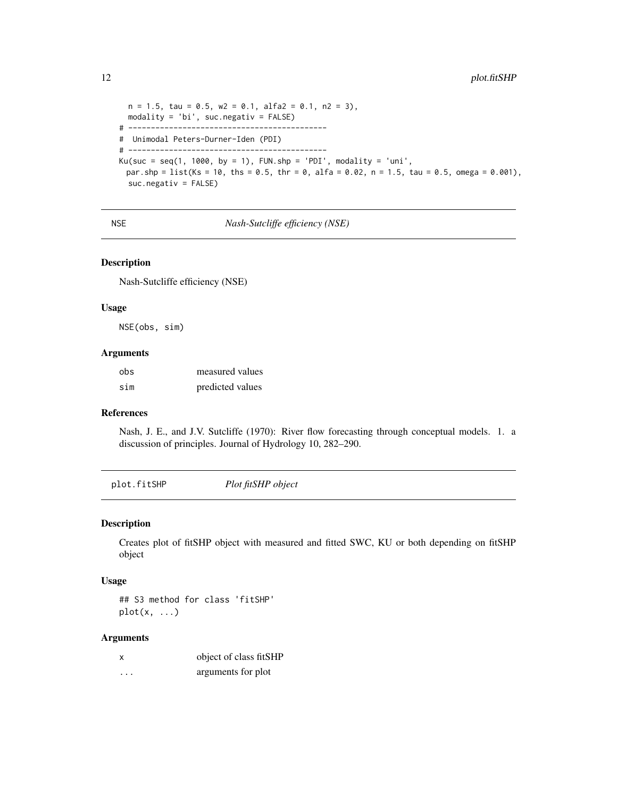```
n = 1.5, tau = 0.5, w2 = 0.1, alfa2 = 0.1, n2 = 3),
  modality = 'bi', suc.negativ = FALSE)
# --------------------------------------------
# Unimodal Peters-Durner-Iden (PDI)
# --------------------------------------------
Ku(suc = seq(1, 1000, by = 1), FUN.shp = 'PDI', modality = 'uni',
 par.shp = list(Ks = 10, ths = 0.5, thr = 0, alfa = 0.02, n = 1.5, tau = 0.5, omega = 0.001),
  suc.negativ = FALSE)
```
NSE *Nash-Sutcliffe efficiency (NSE)*

# Description

Nash-Sutcliffe efficiency (NSE)

#### Usage

NSE(obs, sim)

## Arguments

| obs | measured values  |
|-----|------------------|
| sim | predicted values |

#### References

Nash, J. E., and J.V. Sutcliffe (1970): River flow forecasting through conceptual models. 1. a discussion of principles. Journal of Hydrology 10, 282–290.

plot.fitSHP *Plot fitSHP object*

#### Description

Creates plot of fitSHP object with measured and fitted SWC, KU or both depending on fitSHP object

# Usage

## S3 method for class 'fitSHP'  $plot(x, \ldots)$ 

| x | object of class fitSHP |
|---|------------------------|
| . | arguments for plot     |

<span id="page-11-0"></span>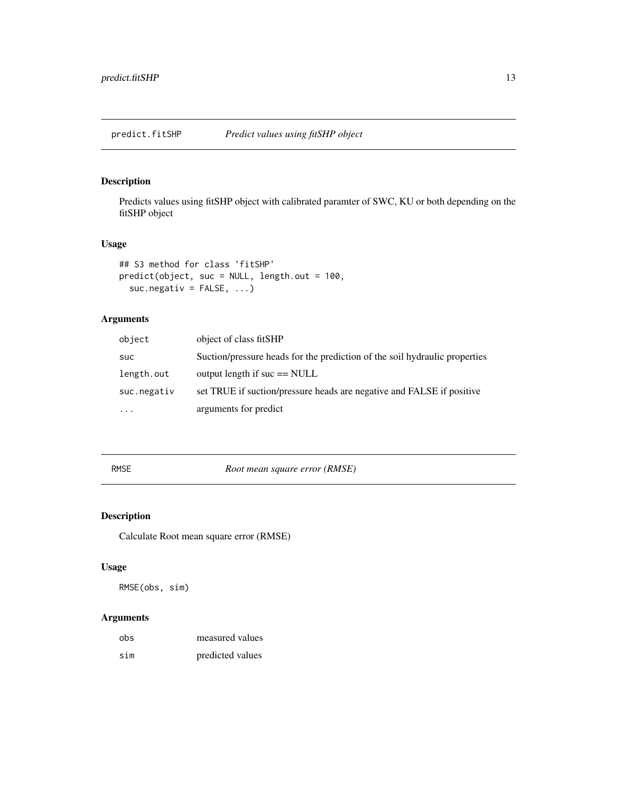<span id="page-12-0"></span>predict.fitSHP *Predict values using fitSHP object*

# Description

Predicts values using fitSHP object with calibrated paramter of SWC, KU or both depending on the fitSHP object

# Usage

```
## S3 method for class 'fitSHP'
predict(object, suc = NULL, length.out = 100,
  suc.negativ = FALSE, ...
```
# Arguments

| object      | object of class fitSHP                                                     |
|-------------|----------------------------------------------------------------------------|
| <b>SUC</b>  | Suction/pressure heads for the prediction of the soil hydraulic properties |
| length.out  | output length if $suc == NULL$                                             |
| suc.negativ | set TRUE if suction/pressure heads are negative and FALSE if positive      |
| $\ddotsc$   | arguments for predict                                                      |

RMSE *Root mean square error (RMSE)*

# Description

Calculate Root mean square error (RMSE)

# Usage

RMSE(obs, sim)

| obs | measured values  |
|-----|------------------|
| sim | predicted values |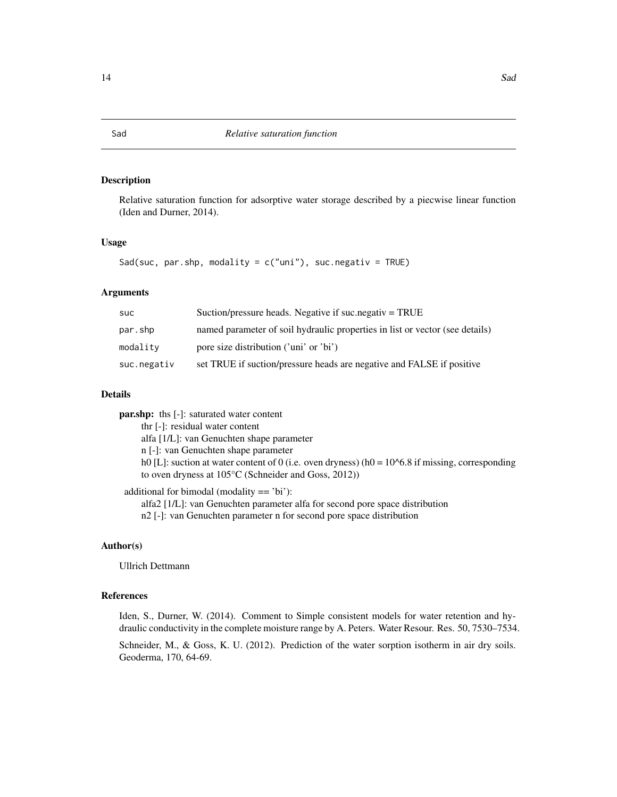<span id="page-13-1"></span><span id="page-13-0"></span>Relative saturation function for adsorptive water storage described by a piecwise linear function (Iden and Durner, 2014).

#### Usage

Sad(suc, par.shp, modality =  $c("uni")$ , suc.negativ = TRUE)

# Arguments

| <b>SUC</b>  | Suction/pressure heads. Negative if suc. negativ $=$ TRUE                    |
|-------------|------------------------------------------------------------------------------|
| par.shp     | named parameter of soil hydraulic properties in list or vector (see details) |
| modality    | pore size distribution ('uni' or 'bi')                                       |
| suc.negativ | set TRUE if suction/pressure heads are negative and FALSE if positive        |

# Details

par.shp: ths [-]: saturated water content thr [-]: residual water content alfa [1/L]: van Genuchten shape parameter n [-]: van Genuchten shape parameter h0 [L]: suction at water content of 0 (i.e. oven dryness) (h0 =  $10^{6}$ 6.8 if missing, corresponding to oven dryness at 105°C (Schneider and Goss, 2012))

additional for bimodal (modality == 'bi'):

alfa2 [1/L]: van Genuchten parameter alfa for second pore space distribution n2 [-]: van Genuchten parameter n for second pore space distribution

# Author(s)

Ullrich Dettmann

# References

Iden, S., Durner, W. (2014). Comment to Simple consistent models for water retention and hydraulic conductivity in the complete moisture range by A. Peters. Water Resour. Res. 50, 7530–7534.

Schneider, M., & Goss, K. U. (2012). Prediction of the water sorption isotherm in air dry soils. Geoderma, 170, 64-69.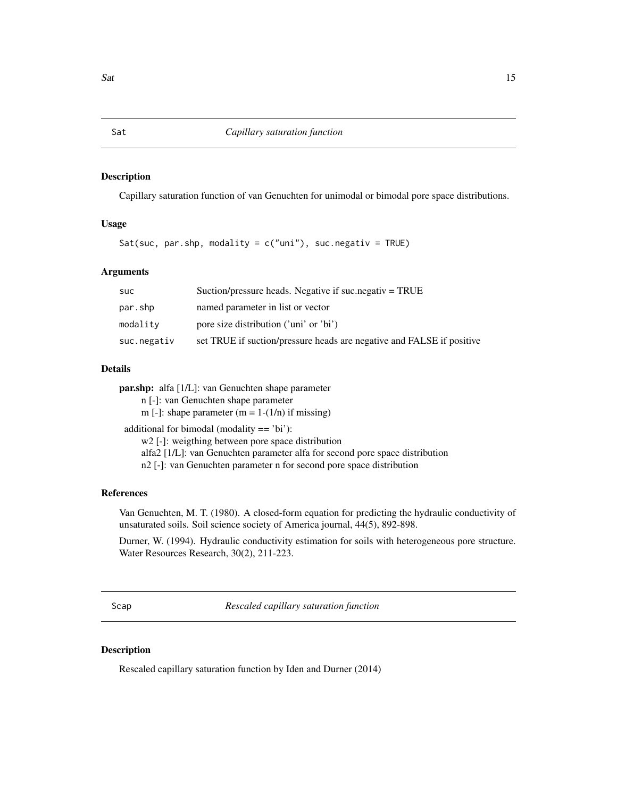<span id="page-14-1"></span><span id="page-14-0"></span>Capillary saturation function of van Genuchten for unimodal or bimodal pore space distributions.

# Usage

Sat(suc, par.shp, modality =  $c("uni")$ , suc.negativ = TRUE)

# Arguments

| suc         | Suction/pressure heads. Negative if suc.negativ $=$ TRUE              |
|-------------|-----------------------------------------------------------------------|
| par.shp     | named parameter in list or vector                                     |
| modality    | pore size distribution ('uni' or 'bi')                                |
| suc.negativ | set TRUE if suction/pressure heads are negative and FALSE if positive |

# Details

par.shp: alfa [1/L]: van Genuchten shape parameter

n [-]: van Genuchten shape parameter

m [-]: shape parameter  $(m = 1-(1/n))$  if missing)

additional for bimodal (modality == 'bi'):

w2 [-]: weigthing between pore space distribution

alfa2 [1/L]: van Genuchten parameter alfa for second pore space distribution

n2 [-]: van Genuchten parameter n for second pore space distribution

# References

Van Genuchten, M. T. (1980). A closed-form equation for predicting the hydraulic conductivity of unsaturated soils. Soil science society of America journal, 44(5), 892-898.

Durner, W. (1994). Hydraulic conductivity estimation for soils with heterogeneous pore structure. Water Resources Research, 30(2), 211-223.

<span id="page-14-2"></span>Scap *Rescaled capillary saturation function*

#### Description

Rescaled capillary saturation function by Iden and Durner (2014)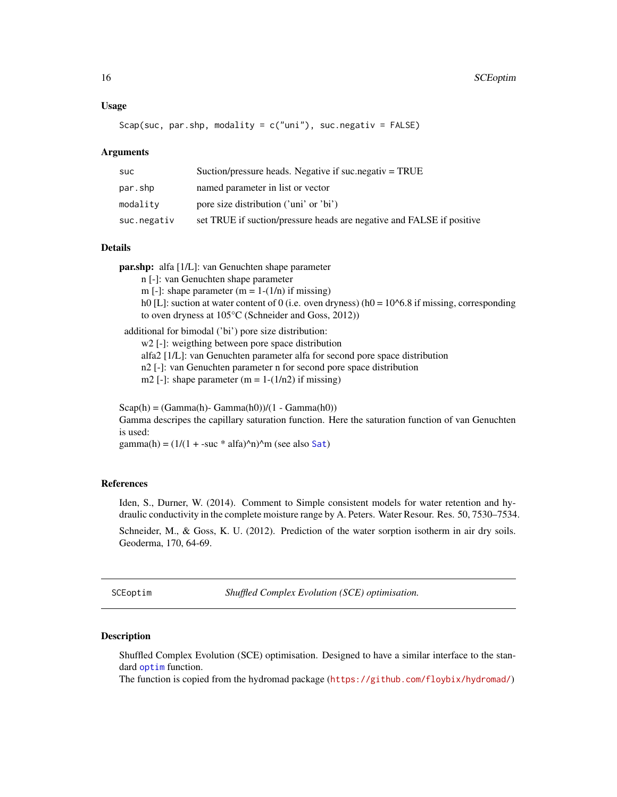#### <span id="page-15-0"></span>Usage

$$
Scap(suc, par.shp, modality = c("uni"), suc.negativ = FALSE)
$$

#### Arguments

| suc         | Suction/pressure heads. Negative if suc. negativ $=$ TRUE             |
|-------------|-----------------------------------------------------------------------|
| par.shp     | named parameter in list or vector                                     |
| modality    | pore size distribution ('uni' or 'bi')                                |
| suc.negativ | set TRUE if suction/pressure heads are negative and FALSE if positive |

# Details

par.shp: alfa [1/L]: van Genuchten shape parameter

n [-]: van Genuchten shape parameter

m [-]: shape parameter  $(m = 1-(1/n))$  if missing)

h0 [L]: suction at water content of 0 (i.e. oven dryness) (h0 =  $10^{6}$ 6.8 if missing, corresponding to oven dryness at 105°C (Schneider and Goss, 2012))

additional for bimodal ('bi') pore size distribution:

w<sub>2</sub> [-]: weigthing between pore space distribution

alfa2 [1/L]: van Genuchten parameter alfa for second pore space distribution

n2 [-]: van Genuchten parameter n for second pore space distribution

m2 [-]: shape parameter  $(m = 1-(1/n2))$  if missing)

 $Scap(h) = (Gamma(h) - Gamma(h0))/(1 - Gamma(h0))$ Gamma descripes the capillary saturation function. Here the saturation function of van Genuchten is used: gamma(h) =  $(1/(1 + -succ * alfa)^n)n$  (see also [Sat](#page-14-1))

#### References

Iden, S., Durner, W. (2014). Comment to Simple consistent models for water retention and hydraulic conductivity in the complete moisture range by A. Peters. Water Resour. Res. 50, 7530–7534.

Schneider, M., & Goss, K. U. (2012). Prediction of the water sorption isotherm in air dry soils. Geoderma, 170, 64-69.

<span id="page-15-1"></span>SCEoptim *Shuffled Complex Evolution (SCE) optimisation.*

#### Description

Shuffled Complex Evolution (SCE) optimisation. Designed to have a similar interface to the standard [optim](#page-0-0) function.

The function is copied from the hydromad package (<https://github.com/floybix/hydromad/>)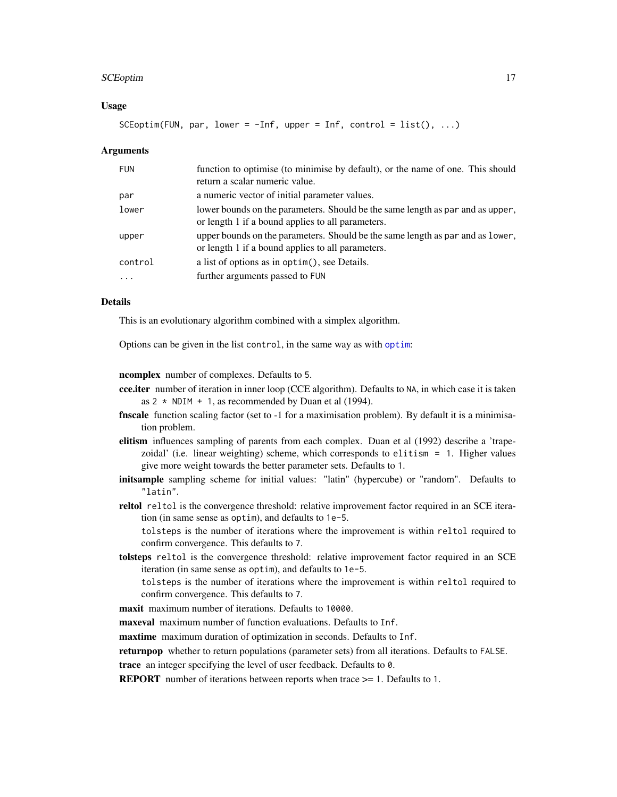#### SCEoptim 17

# Usage

SCEoptim(FUN, par, lower =  $-Inf$ , upper = Inf, control = list(), ...)

#### Arguments

| <b>FUN</b> | function to optimise (to minimise by default), or the name of one. This should<br>return a scalar numeric value.                    |
|------------|-------------------------------------------------------------------------------------------------------------------------------------|
| par        | a numeric vector of initial parameter values.                                                                                       |
| lower      | lower bounds on the parameters. Should be the same length as par and as upper,<br>or length 1 if a bound applies to all parameters. |
| upper      | upper bounds on the parameters. Should be the same length as par and as lower,<br>or length 1 if a bound applies to all parameters. |
| control    | a list of options as in optim(), see Details.                                                                                       |
|            | further arguments passed to FUN                                                                                                     |

### Details

This is an evolutionary algorithm combined with a simplex algorithm.

Options can be given in the list control, in the same way as with [optim](#page-0-0):

ncomplex number of complexes. Defaults to 5.

- cce.iter number of iteration in inner loop (CCE algorithm). Defaults to NA, in which case it is taken as  $2 \times \text{NDIM} + 1$ , as recommended by Duan et al (1994).
- finscale function scaling factor (set to -1 for a maximisation problem). By default it is a minimisation problem.
- elitism influences sampling of parents from each complex. Duan et al (1992) describe a 'trapezoidal' (i.e. linear weighting) scheme, which corresponds to elitism = 1. Higher values give more weight towards the better parameter sets. Defaults to 1.
- initsample sampling scheme for initial values: "latin" (hypercube) or "random". Defaults to "latin".
- reltol reltol is the convergence threshold: relative improvement factor required in an SCE iteration (in same sense as optim), and defaults to 1e-5.

tolsteps is the number of iterations where the improvement is within reltol required to confirm convergence. This defaults to 7.

tolsteps reltol is the convergence threshold: relative improvement factor required in an SCE iteration (in same sense as optim), and defaults to 1e-5.

tolsteps is the number of iterations where the improvement is within reltol required to confirm convergence. This defaults to 7.

maxit maximum number of iterations. Defaults to 10000.

maxeval maximum number of function evaluations. Defaults to Inf.

maxtime maximum duration of optimization in seconds. Defaults to Inf.

returnpop whether to return populations (parameter sets) from all iterations. Defaults to FALSE.

trace an integer specifying the level of user feedback. Defaults to 0.

REPORT number of iterations between reports when trace >= 1. Defaults to 1.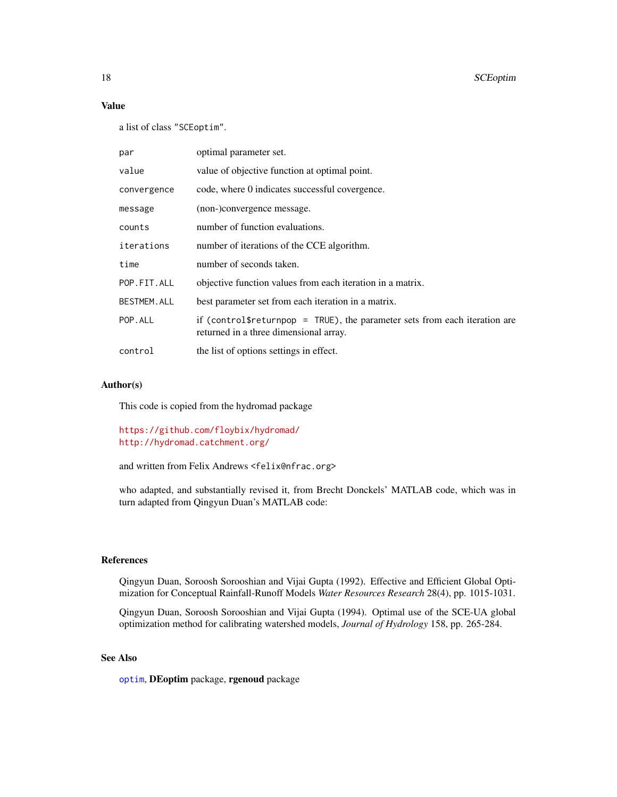# Value

a list of class "SCEoptim".

| par                | optimal parameter set.                                                                                                               |
|--------------------|--------------------------------------------------------------------------------------------------------------------------------------|
| value              | value of objective function at optimal point.                                                                                        |
| convergence        | code, where 0 indicates successful covergence.                                                                                       |
| message            | (non-)convergence message.                                                                                                           |
| counts             | number of function evaluations.                                                                                                      |
| iterations         | number of iterations of the CCE algorithm.                                                                                           |
| time               | number of seconds taken.                                                                                                             |
| POP.FIT.ALL        | objective function values from each iteration in a matrix.                                                                           |
| <b>BESTMEM.ALL</b> | best parameter set from each iteration in a matrix.                                                                                  |
| POP.ALL            | if (control $\text{Sreturpop} = \text{TRUE}$ ), the parameter sets from each iteration are<br>returned in a three dimensional array. |
| control            | the list of options settings in effect.                                                                                              |

#### Author(s)

This code is copied from the hydromad package

<https://github.com/floybix/hydromad/> <http://hydromad.catchment.org/>

and written from Felix Andrews <felix@nfrac.org>

who adapted, and substantially revised it, from Brecht Donckels' MATLAB code, which was in turn adapted from Qingyun Duan's MATLAB code:

# References

Qingyun Duan, Soroosh Sorooshian and Vijai Gupta (1992). Effective and Efficient Global Optimization for Conceptual Rainfall-Runoff Models *Water Resources Research* 28(4), pp. 1015-1031.

Qingyun Duan, Soroosh Sorooshian and Vijai Gupta (1994). Optimal use of the SCE-UA global optimization method for calibrating watershed models, *Journal of Hydrology* 158, pp. 265-284.

# See Also

[optim](#page-0-0), DEoptim package, rgenoud package

<span id="page-17-0"></span>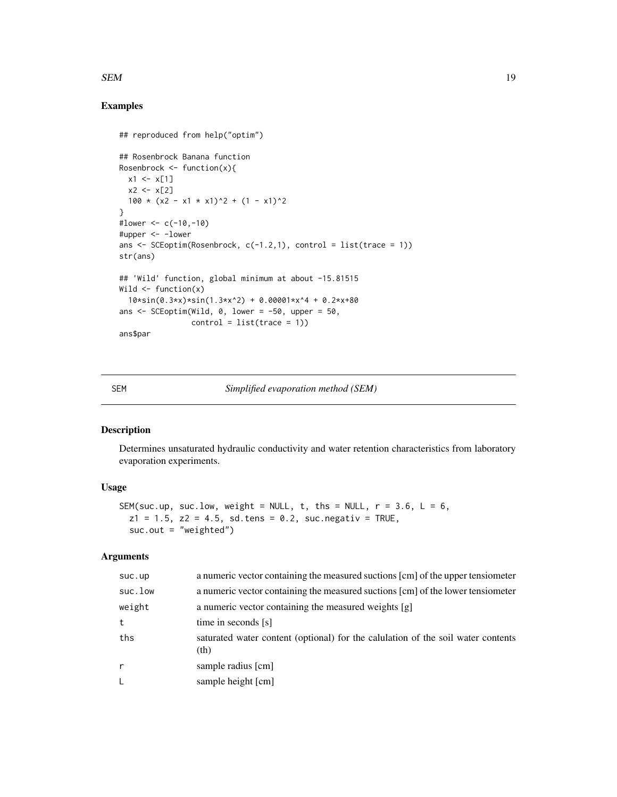# <span id="page-18-0"></span> $SEM$  19

# Examples

```
## reproduced from help("optim")
## Rosenbrock Banana function
Rosenbrock \leq function(x){
 x1 \leftarrow x[1]x2 < - x[2]100 \times (x2 - x1 \times x1)^2 + (1 - x1)^2}
#lower <- c(-10,-10)
#upper <- -lower
ans \leq SCEoptim(Rosenbrock, c(-1.2,1), control = list(trace = 1))
str(ans)
## 'Wild' function, global minimum at about -15.81515
Wild \leftarrow function(x)
  10*sin(0.3*x)*sin(1.3*x^2) + 0.00001*x^4 + 0.2*x+80ans \le SCEoptim(Wild, 0, lower = -50, upper = 50,
                control = list(true = 1)ans$par
```
# SEM *Simplified evaporation method (SEM)*

# Description

Determines unsaturated hydraulic conductivity and water retention characteristics from laboratory evaporation experiments.

# Usage

```
SEM(suc.up, suc.low, weight = NULL, t, ths = NULL, r = 3.6, L = 6,
 z1 = 1.5, z2 = 4.5, sd.tens = 0.2, suc.negativ = TRUE,
  suc.out = "weighted")
```

| suc.up       | a numeric vector containing the measured suctions [cm] of the upper tensiometer          |
|--------------|------------------------------------------------------------------------------------------|
| suc.low      | a numeric vector containing the measured suctions [cm] of the lower tensiometer          |
| weight       | a numeric vector containing the measured weights [g]                                     |
| t            | time in seconds [s]                                                                      |
| ths          | saturated water content (optional) for the calulation of the soil water contents<br>(th) |
| $\mathsf{r}$ | sample radius [cm]                                                                       |
| L.           | sample height [cm]                                                                       |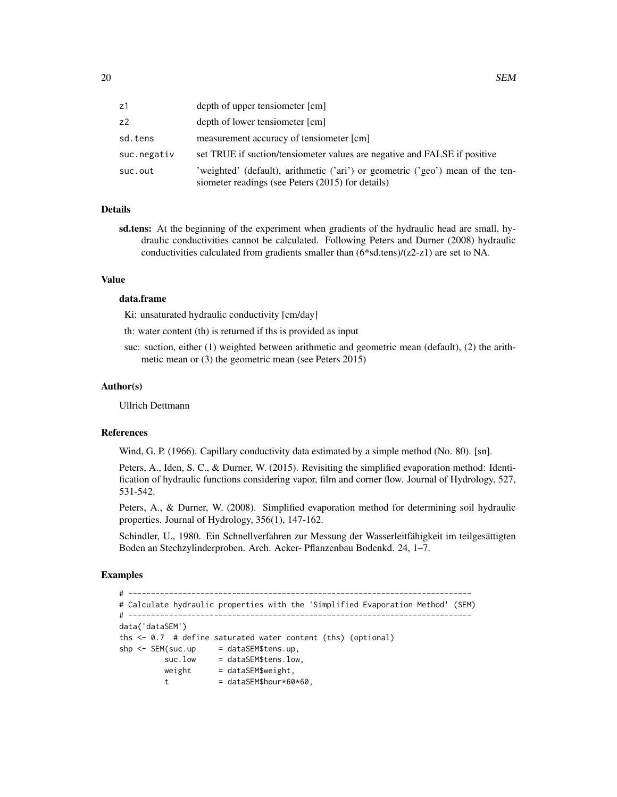| z1          | depth of upper tensiometer [cm]                                                                                                     |
|-------------|-------------------------------------------------------------------------------------------------------------------------------------|
| z2          | depth of lower tensiometer [cm]                                                                                                     |
| sd.tens     | measurement accuracy of tensiometer [cm]                                                                                            |
| suc.negativ | set TRUE if suction/tensiometer values are negative and FALSE if positive                                                           |
| suc.out     | 'weighted' (default), arithmetic ('ari') or geometric ('geo') mean of the ten-<br>siometer readings (see Peters (2015) for details) |

#### Details

sd.tens: At the beginning of the experiment when gradients of the hydraulic head are small, hydraulic conductivities cannot be calculated. Following Peters and Durner (2008) hydraulic conductivities calculated from gradients smaller than (6\*sd.tens)/(z2-z1) are set to NA.

#### Value

# data.frame

Ki: unsaturated hydraulic conductivity [cm/day]

th: water content (th) is returned if ths is provided as input

suc: suction, either (1) weighted between arithmetic and geometric mean (default), (2) the arithmetic mean or (3) the geometric mean (see Peters 2015)

#### Author(s)

Ullrich Dettmann

#### References

Wind, G. P. (1966). Capillary conductivity data estimated by a simple method (No. 80). [sn].

Peters, A., Iden, S. C., & Durner, W. (2015). Revisiting the simplified evaporation method: Identification of hydraulic functions considering vapor, film and corner flow. Journal of Hydrology, 527, 531-542.

Peters, A., & Durner, W. (2008). Simplified evaporation method for determining soil hydraulic properties. Journal of Hydrology, 356(1), 147-162.

Schindler, U., 1980. Ein Schnellverfahren zur Messung der Wasserleitfähigkeit im teilgesättigten Boden an Stechzylinderproben. Arch. Acker- Pflanzenbau Bodenkd. 24, 1–7.

#### Examples

# ---------------------------------------------------------------------------- # Calculate hydraulic properties with the 'Simplified Evaporation Method' (SEM) # --------------------------------------------------------------------------- data('dataSEM') ths <- 0.7 # define saturated water content (ths) (optional)  $\n$ shp <- SEM(suc.up = dataSEM\$tens.up, suc.low = dataSEM\$tens.low, weight = dataSEM\$weight, t = dataSEM\$hour $*60*60$ ,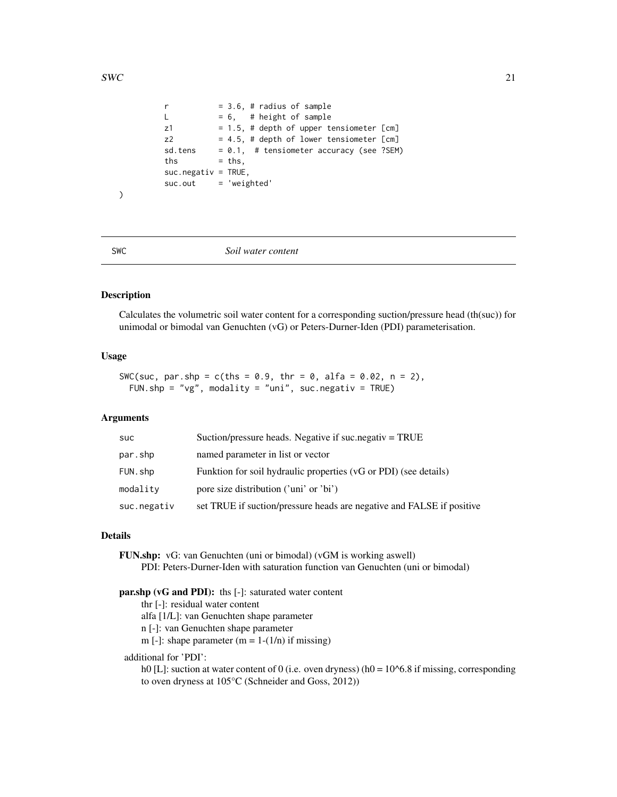```
r = 3.6, # radius of sample
L = 6, # height of sample
z1 = 1.5, # depth of upper tensiometer [cm]
z2 = 4.5, # depth of lower tensiometer [\text{cm}]sd.tens = 0.1, # tensiometer accuracy (see ?SEM)
ths = ths,suc.negativ = TRUE,suc.out = 'weighted'
```
<span id="page-20-1"></span>

 $\mathcal{L}$ 

SWC *Soil water content*

#### Description

Calculates the volumetric soil water content for a corresponding suction/pressure head (th(suc)) for unimodal or bimodal van Genuchten (vG) or Peters-Durner-Iden (PDI) parameterisation.

#### Usage

```
SWC(suc, par.shp = c(ths = 0.9, thr = 0, alfa = 0.02, n = 2),
 FUN.shp = "vg", modality = "uni", suc.negativ = TRUE)
```
# Arguments

| <b>SUC</b>  | Suction/pressure heads. Negative if suc.negativ = TRUE                |
|-------------|-----------------------------------------------------------------------|
| par.shp     | named parameter in list or vector                                     |
| FUN.shp     | Funktion for soil hydraulic properties (vG or PDI) (see details)      |
| modality    | pore size distribution ('uni' or 'bi')                                |
| suc.negativ | set TRUE if suction/pressure heads are negative and FALSE if positive |

#### Details

FUN.shp: vG: van Genuchten (uni or bimodal) (vGM is working aswell) PDI: Peters-Durner-Iden with saturation function van Genuchten (uni or bimodal)

# par.shp (vG and PDI): ths [-]: saturated water content

thr [-]: residual water content

- alfa [1/L]: van Genuchten shape parameter
- n [-]: van Genuchten shape parameter

m [-]: shape parameter  $(m = 1-(1/n))$  if missing)

# additional for 'PDI':

h0 [L]: suction at water content of 0 (i.e. oven dryness) (h0 =  $10<sup>6</sup>$ .8 if missing, corresponding to oven dryness at 105°C (Schneider and Goss, 2012))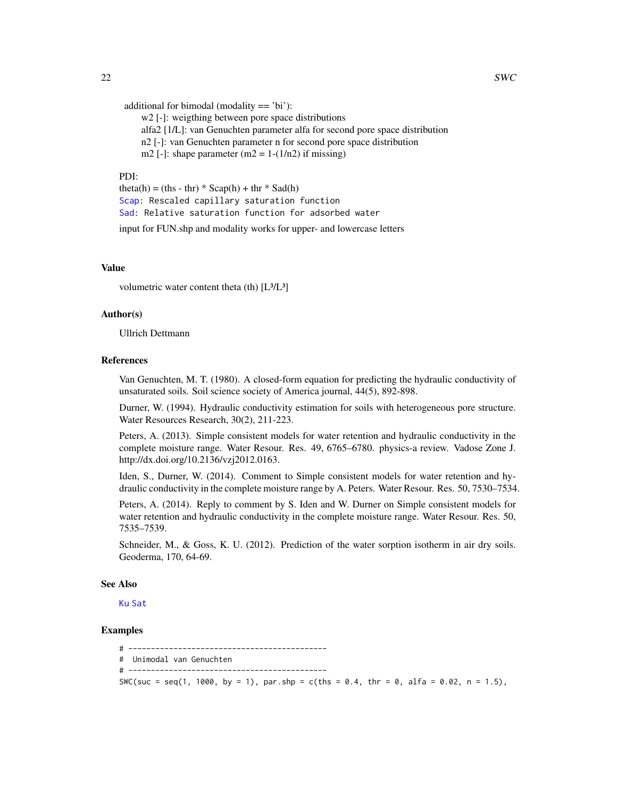```
additional for bimodal (modality == 'bi'):
```
w<sub>2</sub> [-]: weigthing between pore space distributions alfa2 [1/L]: van Genuchten parameter alfa for second pore space distribution n2 [-]: van Genuchten parameter n for second pore space distribution

m2 [-]: shape parameter  $(m2 = 1-(1/n2))$  if missing)

# PDI:

theta(h) = (ths - thr)  $*$  Scap(h) + thr  $*$  Sad(h) [Scap:](#page-14-2) Rescaled capillary saturation function [Sad:](#page-13-1) Relative saturation function for adsorbed water

input for FUN.shp and modality works for upper- and lowercase letters

# Value

volumetric water content theta (th)  $[L<sup>3</sup>/L<sup>3</sup>]$ 

# Author(s)

Ullrich Dettmann

# References

Van Genuchten, M. T. (1980). A closed-form equation for predicting the hydraulic conductivity of unsaturated soils. Soil science society of America journal, 44(5), 892-898.

Durner, W. (1994). Hydraulic conductivity estimation for soils with heterogeneous pore structure. Water Resources Research, 30(2), 211-223.

Peters, A. (2013). Simple consistent models for water retention and hydraulic conductivity in the complete moisture range. Water Resour. Res. 49, 6765–6780. physics-a review. Vadose Zone J. http://dx.doi.org/10.2136/vzj2012.0163.

Iden, S., Durner, W. (2014). Comment to Simple consistent models for water retention and hydraulic conductivity in the complete moisture range by A. Peters. Water Resour. Res. 50, 7530–7534.

Peters, A. (2014). Reply to comment by S. Iden and W. Durner on Simple consistent models for water retention and hydraulic conductivity in the complete moisture range. Water Resour. Res. 50, 7535–7539.

Schneider, M., & Goss, K. U. (2012). Prediction of the water sorption isotherm in air dry soils. Geoderma, 170, 64-69.

#### See Also

[Ku](#page-9-1) [Sat](#page-14-1)

# Examples

```
# --------------------------------------------
# Unimodal van Genuchten
# --------------------------------------------
SWC(suc = seq(1, 1000, by = 1), par.shp = c(ths = 0.4, thr = 0, alfa = 0.02, n = 1.5),
```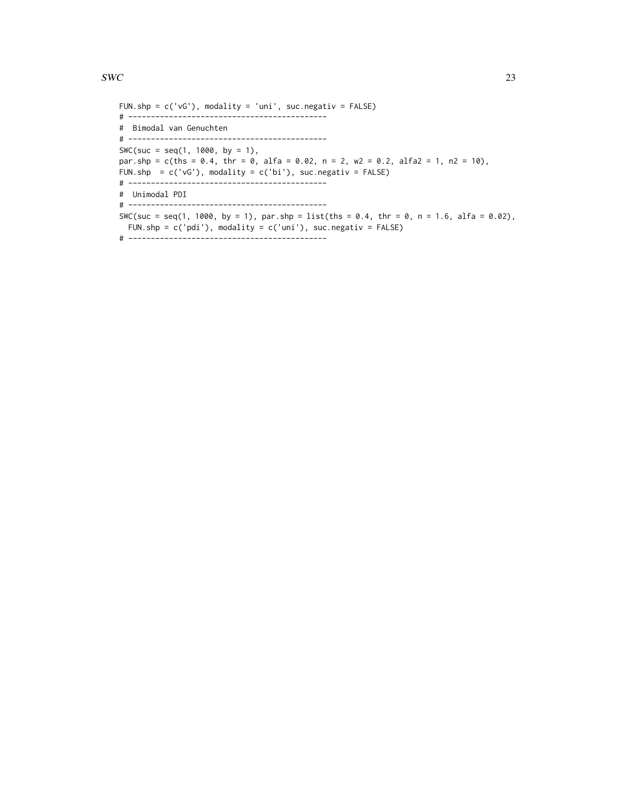```
FUN.shp = c('vG'), modality = 'uni', suc.negativ = FALSE)
# --------------------------------------------
# Bimodal van Genuchten
# --------------------------------------------
SWC(suc = seq(1, 1000, by = 1),
par.shp = c(ths = 0.4, thr = 0, alfa = 0.02, n = 2, w2 = 0.2, alfa2 = 1, n2 = 10),
FUN.shp = c('vG'), modality = c('bi'), suc.negativ = FALSE)
# --------------------------------------------
# Unimodal PDI
# --------------------------------------------
SWC(suc = seq(1, 1000, by = 1), par.shp = list(ths = 0.4, thr = 0, n = 1.6, alfa = 0.02),
  FUN.shp = c('pdi'), modality = c('uni'), suc.negativ = FALSE)
# --------------------------------------------
```